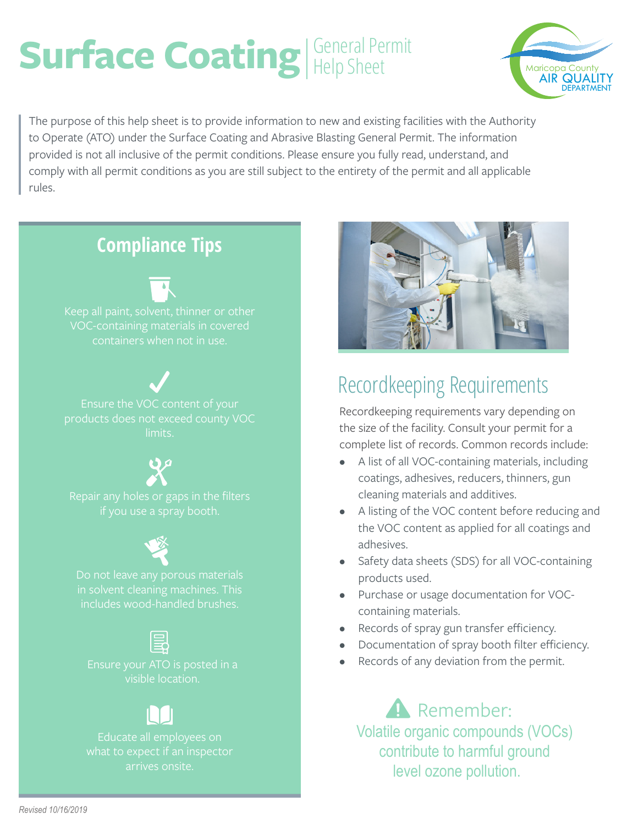# Surface Coating Help Sheet



The purpose of this help sheet is to provide information to new and existing facilities with the Authority to Operate (ATO) under the Surface Coating and Abrasive Blasting General Permit. The information provided is not all inclusive of the permit conditions. Please ensure you fully read, understand, and comply with all permit conditions as you are still subject to the entirety of the permit and all applicable rules.

## **Compliance Tips**



Ensure the VOC content of your products does not exceed county VOC limits.

includes wood-handled brushes.

visible location.

what to expect if an inspector arrives onsite.



# Recordkeeping Requirements

Recordkeeping requirements vary depending on the size of the facility. Consult your permit for a complete list of records. Common records include:

- A list of all VOC-containing materials, including coatings, adhesives, reducers, thinners, gun cleaning materials and additives.
- A listing of the VOC content before reducing and the VOC content as applied for all coatings and adhesives.
- Safety data sheets (SDS) for all VOC-containing products used.
- Purchase or usage documentation for VOCcontaining materials.
- Records of spray gun transfer efficiency.
- Documentation of spray booth filter efficiency.
- Records of any deviation from the permit.

Remember: Volatile organic compounds (VOCs) contribute to harmful ground level ozone pollution.